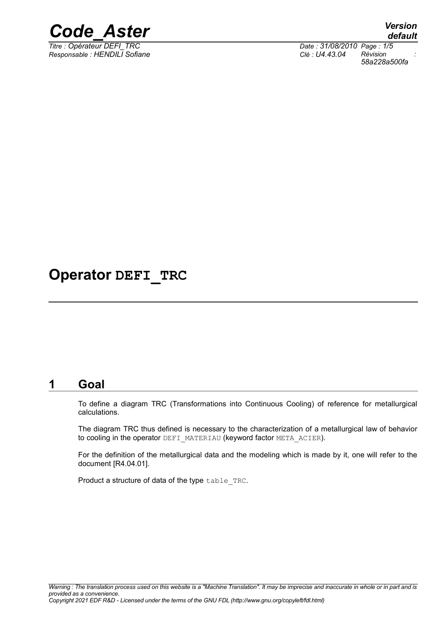

*Responsable : HENDILI Sofiane Clé : U4.43.04 Révision :*

*Titre : Opérateur DEFI\_TRC Date : 31/08/2010 Page : 1/5 58a228a500fa*

## **Operator DEFI\_TRC**

### **1 Goal**

To define a diagram TRC (Transformations into Continuous Cooling) of reference for metallurgical calculations.

The diagram TRC thus defined is necessary to the characterization of a metallurgical law of behavior to cooling in the operator DEFI\_MATERIAU (keyword factor META\_ACIER).

For the definition of the metallurgical data and the modeling which is made by it, one will refer to the document [R4.04.01].

Product a structure of data of the type table\_TRC.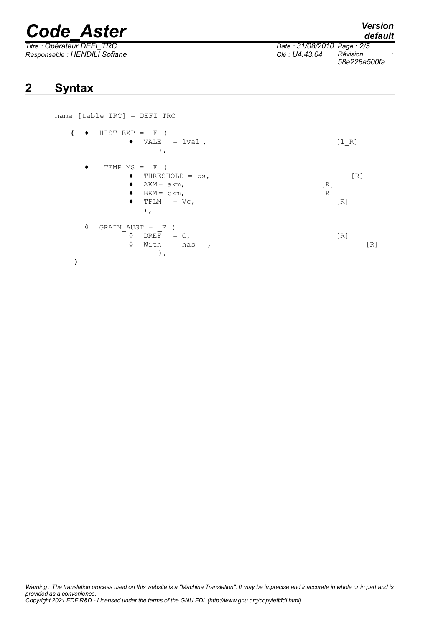# *Code\_Aster Version*

*default*

*Titre : Opérateur DEFI\_TRC Date : 31/08/2010 Page : 2/5 Responsable : HENDILI Sofiane Clé : U4.43.04 Révision : 58a228a500fa*

### **2 Syntax**

name [table\_TRC] = DEFI\_TRC  $\left( \bullet \right)$  HIST EXP =  $F$  (  $\bullet$  VALE = lval ,  $[1_R]$ ),  $\begin{array}{ccc} \bullet & \text{TEMP\_MS} & = & \text{F} & (\\\hline \bullet & \text{THRES} & \end{array}$  $\begin{array}{ll}\n\bullet & \text{THRESHOLD} = z\,\text{s}, & \text{[R]} \\
\bullet & \text{AKM} = \text{akm}, & \text{[R]}\n\end{array}$  $AKM = akm,$  [R]<br> $BKM = bkm,$  [R]  $\blacklozenge$  BKM = bkm,  $\blacklozenge$  TPLM = Vc, [R] ),  $\Diamond$  GRAIN AUST =  $F$  (  $\begin{array}{ccc} \Diamond & \text{DREF} & = \text{C}, \\ \Diamond & \text{With} & = \text{has} \end{array}$  [R]  $With = has$ ,  $[R]$ ), **)**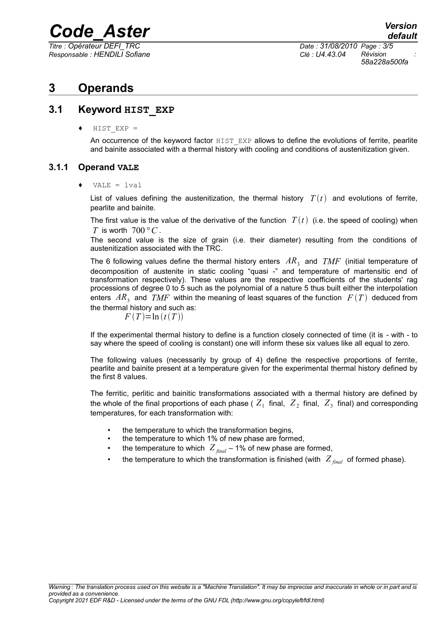# *Code\_Aster Version*

*Responsable : HENDILI Sofiane Clé : U4.43.04 Révision :*

*Titre : Opérateur DEFI\_TRC Date : 31/08/2010 Page : 3/5 58a228a500fa*

### **3 Operands**

### **3.1 Keyword HIST\_EXP**

 $HIST$  EXP =

An occurrence of the keyword factor HIST EXP allows to define the evolutions of ferrite, pearlite and bainite associated with a thermal history with cooling and conditions of austenitization given.

### **3.1.1 Operand VALE**

 $VALE = Ival$ 

List of values defining the austenitization, the thermal history  $T(t)$  and evolutions of ferrite, pearlite and bainite.

The first value is the value of the derivative of the function  $T(t)$  (i.e. the speed of cooling) when *T* is worth  $700 °C$ .

The second value is the size of grain (i.e. their diameter) resulting from the conditions of austenitization associated with the TRC.

The 6 following values define the thermal history enters  $AR<sub>3</sub>$  and  $\mathit{TMF}$  (initial temperature of decomposition of austenite in static cooling "quasi -" and temperature of martensitic end of transformation respectively). These values are the respective coefficients of the students' rag processions of degree 0 to 5 such as the polynomial of a nature 5 thus built either the interpolation enters  $AR<sub>3</sub>$  and  $\mathit{TMF}$  within the meaning of least squares of the function  $\mathit{F}\left(\mathit{T}\right)$  deduced from the thermal history and such as:

 $F(T) = \ln (t(T))$ 

If the experimental thermal history to define is a function closely connected of time (it is - with - to say where the speed of cooling is constant) one will inform these six values like all equal to zero.

The following values (necessarily by group of 4) define the respective proportions of ferrite, pearlite and bainite present at a temperature given for the experimental thermal history defined by the first 8 values.

The ferritic, perlitic and bainitic transformations associated with a thermal history are defined by the whole of the final proportions of each phase (  $Z_{1}^{}$  final,  $\ Z_{2}^{}$  final,  $\ Z_{3}^{}$  final) and corresponding temperatures, for each transformation with:

- the temperature to which the transformation begins,
- the temperature to which 1% of new phase are formed,
- the temperature to which  $Z_{final}$  1% of new phase are formed,
- the temperature to which the transformation is finished (with  $Z_{\text{final}}$  of formed phase).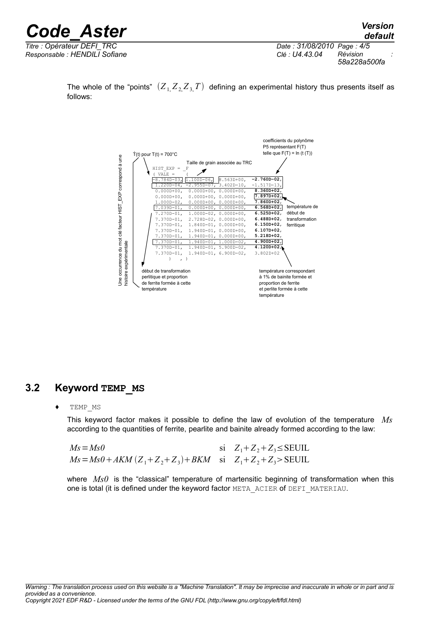| <b>Code Aster</b>             | <b>Version</b><br>default                  |
|-------------------------------|--------------------------------------------|
| Titre : Opérateur DEFI TRC    | Date: 31/08/2010 Page: 4/5                 |
| Responsable : HENDILI Sofiane | Révision<br>Clé : U4.43.04<br>58a228a500fa |

The whole of the "points"  $(Z_1 Z_2 Z_3 T)$  defining an experimental history thus presents itself as follows:



### **3.2 Keyword TEMP\_MS**

♦ TEMP\_MS

This keyword factor makes it possible to define the law of evolution of the temperature *Ms* according to the quantities of ferrite, pearlite and bainite already formed according to the law:

| $Ms = Ms0$                                                         | si $Z_1 + Z_2 + Z_3 \le$ SEUIL |
|--------------------------------------------------------------------|--------------------------------|
| $Ms = Ms0 + AKM(Z_1 + Z_2 + Z_3) + BKM$ si $Z_1 + Z_2 + Z_3$ SEUIL |                                |

where *Ms0* is the "classical" temperature of martensitic beginning of transformation when this one is total (it is defined under the keyword factor META\_ACIER of DEFI\_MATERIAU.